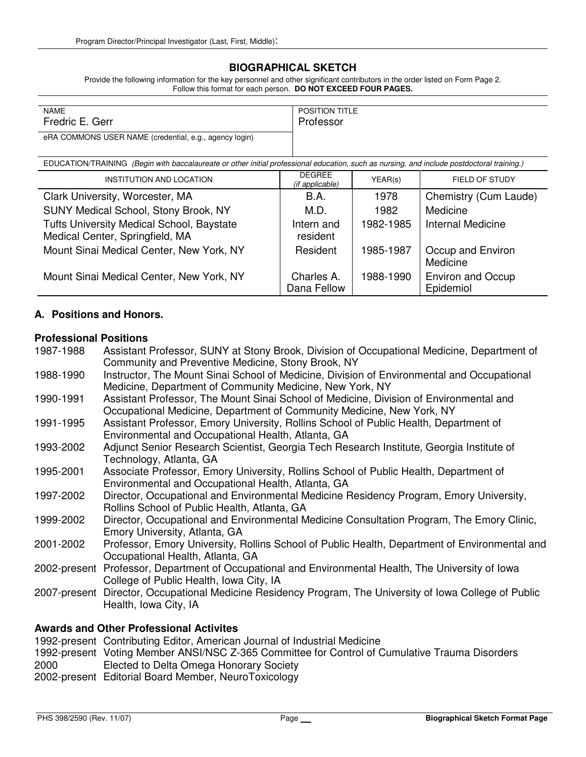## **BIOGRAPHICAL SKETCH**

Provide the following information for the key personnel and other significant contributors in the order listed on Form Page 2. Follow this format for each person. **DO NOT EXCEED FOUR PAGES.**

| <b>NAME</b>                                            | <b>POSITION TITLE</b> |
|--------------------------------------------------------|-----------------------|
| Fredric E. Gerr                                        | Professor             |
| eRA COMMONS USER NAME (credential, e.g., agency login) |                       |

EDUCATION/TRAINING (Begin with baccalaureate or other initial professional education, such as nursing, and include postdoctoral training.)

| INSTITUTION AND LOCATION                                                     | <b>DEGREE</b><br>(if applicable) | YEAR(s)   | FIELD OF STUDY                        |
|------------------------------------------------------------------------------|----------------------------------|-----------|---------------------------------------|
| Clark University, Worcester, MA                                              | <b>B.A.</b>                      | 1978      | Chemistry (Cum Laude)                 |
| SUNY Medical School, Stony Brook, NY                                         | M.D.                             | 1982      | Medicine                              |
| Tufts University Medical School, Baystate<br>Medical Center, Springfield, MA | Intern and<br>resident           | 1982-1985 | <b>Internal Medicine</b>              |
| Mount Sinai Medical Center, New York, NY                                     | Resident                         | 1985-1987 | Occup and Environ<br>Medicine         |
| Mount Sinai Medical Center, New York, NY                                     | Charles A.<br>Dana Fellow        | 1988-1990 | <b>Environ and Occup</b><br>Epidemiol |

### **A. Positions and Honors.**

## **Professional Positions**

| 1987-1988                                | Assistant Professor, SUNY at Stony Brook, Division of Occupational Medicine, Department of               |  |
|------------------------------------------|----------------------------------------------------------------------------------------------------------|--|
|                                          | Community and Preventive Medicine, Stony Brook, NY                                                       |  |
| 1988-1990                                | Instructor, The Mount Sinai School of Medicine, Division of Environmental and Occupational               |  |
|                                          | Medicine, Department of Community Medicine, New York, NY                                                 |  |
| 1990-1991                                | Assistant Professor, The Mount Sinai School of Medicine, Division of Environmental and                   |  |
|                                          | Occupational Medicine, Department of Community Medicine, New York, NY                                    |  |
| 1991-1995                                | Assistant Professor, Emory University, Rollins School of Public Health, Department of                    |  |
|                                          | Environmental and Occupational Health, Atlanta, GA                                                       |  |
| 1993-2002                                | Adjunct Senior Research Scientist, Georgia Tech Research Institute, Georgia Institute of                 |  |
|                                          | Technology, Atlanta, GA                                                                                  |  |
| 1995-2001                                | Associate Professor, Emory University, Rollins School of Public Health, Department of                    |  |
|                                          | Environmental and Occupational Health, Atlanta, GA                                                       |  |
| 1997-2002                                | Director, Occupational and Environmental Medicine Residency Program, Emory University,                   |  |
|                                          | Rollins School of Public Health, Atlanta, GA                                                             |  |
| 1999-2002                                | Director, Occupational and Environmental Medicine Consultation Program, The Emory Clinic,                |  |
|                                          | Emory University, Atlanta, GA                                                                            |  |
| 2001-2002                                | Professor, Emory University, Rollins School of Public Health, Department of Environmental and            |  |
|                                          | Occupational Health, Atlanta, GA                                                                         |  |
| 2002-present                             | Professor, Department of Occupational and Environmental Health, The University of Iowa                   |  |
|                                          | College of Public Health, Iowa City, IA                                                                  |  |
|                                          | 2007-present Director, Occupational Medicine Residency Program, The University of Iowa College of Public |  |
|                                          | Health, Iowa City, IA                                                                                    |  |
| Autorale and Other Drefessional Astirity |                                                                                                          |  |

#### **Awards and Other Professional Activites**

1992-present Contributing Editor, American Journal of Industrial Medicine

1992-present Voting Member ANSI/NSC Z-365 Committee for Control of Cumulative Trauma Disorders 2000 Elected to Delta Omega Honorary Society

2002-present Editorial Board Member, NeuroToxicology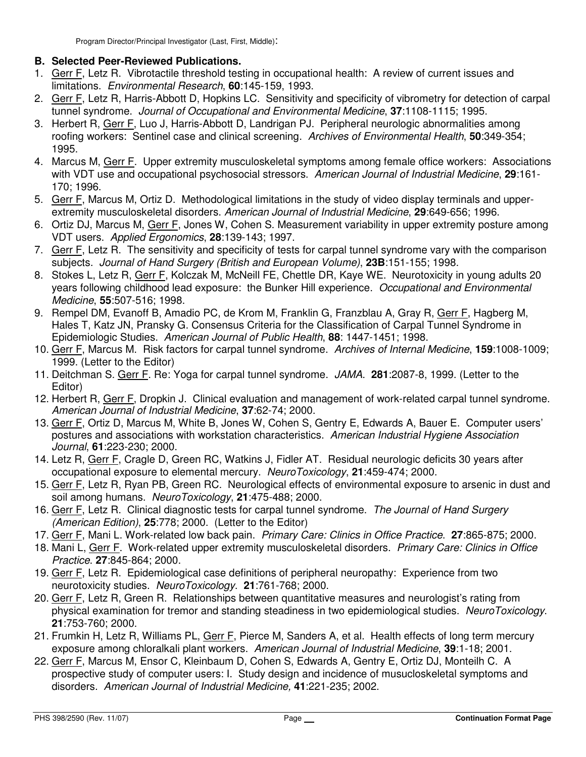# **B. Selected Peer-Reviewed Publications.**

- 1. Gerr F, Letz R. Vibrotactile threshold testing in occupational health: A review of current issues and limitations. Environmental Research, **60**:145-159, 1993.
- 2. Gerr F, Letz R, Harris-Abbott D, Hopkins LC. Sensitivity and specificity of vibrometry for detection of carpal tunnel syndrome. Journal of Occupational and Environmental Medicine, **37**:1108-1115; 1995.
- 3. Herbert R, Gerr F, Luo J, Harris-Abbott D, Landrigan PJ. Peripheral neurologic abnormalities among roofing workers: Sentinel case and clinical screening. Archives of Environmental Health, **50**:349-354; 1995.
- 4. Marcus M, Gerr F. Upper extremity musculoskeletal symptoms among female office workers: Associations with VDT use and occupational psychosocial stressors. American Journal of Industrial Medicine, **29**:161- 170; 1996.
- 5. Gerr F, Marcus M, Ortiz D. Methodological limitations in the study of video display terminals and upperextremity musculoskeletal disorders. American Journal of Industrial Medicine, **29**:649-656; 1996.
- 6. Ortiz DJ, Marcus M, Gerr F, Jones W, Cohen S. Measurement variability in upper extremity posture among VDT users. Applied Ergonomics, **28**:139-143; 1997.
- 7. Gerr F, Letz R. The sensitivity and specificity of tests for carpal tunnel syndrome vary with the comparison subjects. Journal of Hand Surgery (British and European Volume), **23B**:151-155; 1998.
- 8. Stokes L, Letz R, Gerr F, Kolczak M, McNeill FE, Chettle DR, Kaye WE. Neurotoxicity in young adults 20 years following childhood lead exposure: the Bunker Hill experience. Occupational and Environmental Medicine, **55**:507-516; 1998.
- 9. Rempel DM, Evanoff B, Amadio PC, de Krom M, Franklin G, Franzblau A, Gray R, Gerr F, Hagberg M, Hales T, Katz JN, Pransky G. Consensus Criteria for the Classification of Carpal Tunnel Syndrome in Epidemiologic Studies. American Journal of Public Health, **88**: 1447-1451; 1998.
- 10. Gerr F, Marcus M. Risk factors for carpal tunnel syndrome. Archives of Internal Medicine, **159**:1008-1009; 1999. (Letter to the Editor)
- 11. Deitchman S. Gerr F. Re: Yoga for carpal tunnel syndrome. JAMA. **281**:2087-8, 1999. (Letter to the Editor)
- 12. Herbert R, Gerr F, Dropkin J. Clinical evaluation and management of work-related carpal tunnel syndrome. American Journal of Industrial Medicine, **37**:62-74; 2000.
- 13. Gerr F, Ortiz D, Marcus M, White B, Jones W, Cohen S, Gentry E, Edwards A, Bauer E. Computer users' postures and associations with workstation characteristics. American Industrial Hygiene Association Journal, **61**:223-230; 2000.
- 14. Letz R, Gerr F, Cragle D, Green RC, Watkins J, Fidler AT. Residual neurologic deficits 30 years after occupational exposure to elemental mercury. NeuroToxicology, **21**:459-474; 2000.
- 15. Gerr F, Letz R, Ryan PB, Green RC. Neurological effects of environmental exposure to arsenic in dust and soil among humans. NeuroToxicology, **21**:475-488; 2000.
- 16. Gerr F, Letz R. Clinical diagnostic tests for carpal tunnel syndrome. The Journal of Hand Surgery (American Edition), **25**:778; 2000. (Letter to the Editor)
- 17. Gerr F, Mani L. Work-related low back pain. Primary Care: Clinics in Office Practice. **27**:865-875; 2000.
- 18. Mani L, Gerr F. Work-related upper extremity musculoskeletal disorders. Primary Care: Clinics in Office Practice. **27**:845-864; 2000.
- 19. Gerr F, Letz R. Epidemiological case definitions of peripheral neuropathy: Experience from two neurotoxicity studies. NeuroToxicology. **21**:761-768; 2000.
- 20. Gerr F, Letz R, Green R. Relationships between quantitative measures and neurologist's rating from physical examination for tremor and standing steadiness in two epidemiological studies. NeuroToxicology. **21**:753-760; 2000.
- 21. Frumkin H, Letz R, Williams PL, Gerr F, Pierce M, Sanders A, et al. Health effects of long term mercury exposure among chloralkali plant workers. American Journal of Industrial Medicine, **39**:1-18; 2001.
- 22. Gerr F, Marcus M, Ensor C, Kleinbaum D, Cohen S, Edwards A, Gentry E, Ortiz DJ, Monteilh C. A prospective study of computer users: I. Study design and incidence of musucloskeletal symptoms and disorders. American Journal of Industrial Medicine, **41**:221-235; 2002.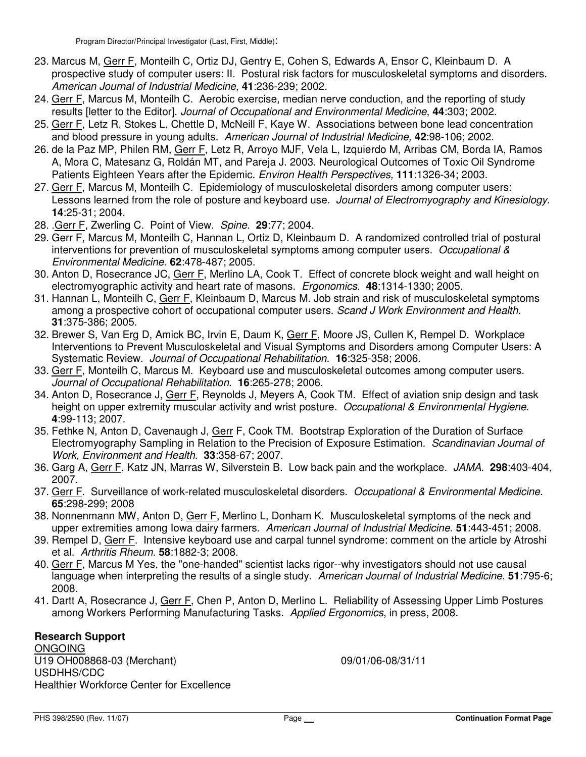- 23. Marcus M, Gerr F, Monteilh C, Ortiz DJ, Gentry E, Cohen S, Edwards A, Ensor C, Kleinbaum D. A prospective study of computer users: II. Postural risk factors for musculoskeletal symptoms and disorders. American Journal of Industrial Medicine, **41**:236-239; 2002.
- 24. Gerr F, Marcus M, Monteilh C. Aerobic exercise, median nerve conduction, and the reporting of study results [letter to the Editor]. Journal of Occupational and Environmental Medicine, **44**:303; 2002.
- 25. Gerr F, Letz R, Stokes L, Chettle D, McNeill F, Kaye W. Associations between bone lead concentration and blood pressure in young adults. American Journal of Industrial Medicine, **42**:98-106; 2002.
- 26. de la Paz MP, Philen RM, Gerr F, Letz R, Arroyo MJF, Vela L, Izquierdo M, Arribas CM, Borda IA, Ramos A, Mora C, Matesanz G, Roldán MT, and Pareja J. 2003. Neurological Outcomes of Toxic Oil Syndrome Patients Eighteen Years after the Epidemic. Environ Health Perspectives, **111**:1326-34; 2003.
- 27. Gerr F, Marcus M, Monteilh C. Epidemiology of musculoskeletal disorders among computer users: Lessons learned from the role of posture and keyboard use. Journal of Electromyography and Kinesiology. **14**:25-31; 2004.
- 28. .Gerr F, Zwerling C. Point of View. Spine. **29**:77; 2004.
- 29. Gerr F, Marcus M, Monteilh C, Hannan L, Ortiz D, Kleinbaum D. A randomized controlled trial of postural interventions for prevention of musculoskeletal symptoms among computer users. Occupational & Environmental Medicine. **62**:478-487; 2005.
- 30. Anton D, Rosecrance JC, Gerr F, Merlino LA, Cook T. Effect of concrete block weight and wall height on electromyographic activity and heart rate of masons. Ergonomics. **48**:1314-1330; 2005.
- 31. Hannan L, Monteilh C, Gerr F, Kleinbaum D, Marcus M. Job strain and risk of musculoskeletal symptoms among a prospective cohort of occupational computer users. Scand J Work Environment and Health. **31**:375-386; 2005.
- 32. Brewer S, Van Erg D, Amick BC, Irvin E, Daum K, Gerr F, Moore JS, Cullen K, Rempel D. Workplace Interventions to Prevent Musculoskeletal and Visual Symptoms and Disorders among Computer Users: A Systematic Review. Journal of Occupational Rehabilitation. **16**:325-358; 2006.
- 33. Gerr F, Monteilh C, Marcus M. Keyboard use and musculoskeletal outcomes among computer users. Journal of Occupational Rehabilitation. **16**:265-278; 2006.
- 34. Anton D, Rosecrance J, Gerr F, Reynolds J, Meyers A, Cook TM. Effect of aviation snip design and task height on upper extremity muscular activity and wrist posture. Occupational & Environmental Hygiene. **4**:99-113; 2007.
- 35. Fethke N, Anton D, Cavenaugh J, Gerr F, Cook TM. Bootstrap Exploration of the Duration of Surface Electromyography Sampling in Relation to the Precision of Exposure Estimation. Scandinavian Journal of Work, Environment and Health. **33**:358-67; 2007.
- 36. Garg A, Gerr F, Katz JN, Marras W, Silverstein B. Low back pain and the workplace. JAMA. **298**:403-404, 2007.
- 37. Gerr F. Surveillance of work-related musculoskeletal disorders. Occupational & Environmental Medicine. **65**:298-299; 2008
- 38. Nonnenmann MW, Anton D, Gerr F, Merlino L, Donham K. Musculoskeletal symptoms of the neck and upper extremities among Iowa dairy farmers. American Journal of Industrial Medicine. **51**:443-451; 2008.
- 39. Rempel D, Gerr F. Intensive keyboard use and carpal tunnel syndrome: comment on the article by Atroshi et al. Arthritis Rheum. **58**:1882-3; 2008.
- 40. Gerr F, Marcus M Yes, the "one-handed" scientist lacks rigor--why investigators should not use causal language when interpreting the results of a single study. American Journal of Industrial Medicine. **51**:795-6; 2008.
- 41. Dartt A, Rosecrance J, Gerr F, Chen P, Anton D, Merlino L. Reliability of Assessing Upper Limb Postures among Workers Performing Manufacturing Tasks. Applied Ergonomics, in press, 2008.

## **Research Support**

**ONGOING** U19 OH008868-03 (Merchant) 09/01/06-08/31/11 USDHHS/CDC Healthier Workforce Center for Excellence